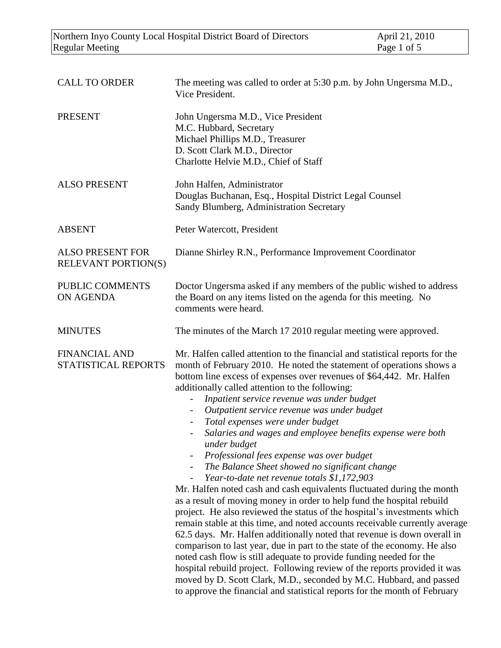| <b>CALL TO ORDER</b>                                  | The meeting was called to order at 5:30 p.m. by John Ungersma M.D.,<br>Vice President.                                                                                                                                                                                                                                                                                                                                                                                                                                                                                                                                                                                                                                                                                                                                                                                                                                                                                                                                                                                                                                                                                                                                                                                                                                                                                                           |  |
|-------------------------------------------------------|--------------------------------------------------------------------------------------------------------------------------------------------------------------------------------------------------------------------------------------------------------------------------------------------------------------------------------------------------------------------------------------------------------------------------------------------------------------------------------------------------------------------------------------------------------------------------------------------------------------------------------------------------------------------------------------------------------------------------------------------------------------------------------------------------------------------------------------------------------------------------------------------------------------------------------------------------------------------------------------------------------------------------------------------------------------------------------------------------------------------------------------------------------------------------------------------------------------------------------------------------------------------------------------------------------------------------------------------------------------------------------------------------|--|
| <b>PRESENT</b>                                        | John Ungersma M.D., Vice President<br>M.C. Hubbard, Secretary<br>Michael Phillips M.D., Treasurer<br>D. Scott Clark M.D., Director<br>Charlotte Helvie M.D., Chief of Staff                                                                                                                                                                                                                                                                                                                                                                                                                                                                                                                                                                                                                                                                                                                                                                                                                                                                                                                                                                                                                                                                                                                                                                                                                      |  |
| <b>ALSO PRESENT</b>                                   | John Halfen, Administrator<br>Douglas Buchanan, Esq., Hospital District Legal Counsel<br>Sandy Blumberg, Administration Secretary                                                                                                                                                                                                                                                                                                                                                                                                                                                                                                                                                                                                                                                                                                                                                                                                                                                                                                                                                                                                                                                                                                                                                                                                                                                                |  |
| <b>ABSENT</b>                                         | Peter Watercott, President                                                                                                                                                                                                                                                                                                                                                                                                                                                                                                                                                                                                                                                                                                                                                                                                                                                                                                                                                                                                                                                                                                                                                                                                                                                                                                                                                                       |  |
| <b>ALSO PRESENT FOR</b><br><b>RELEVANT PORTION(S)</b> | Dianne Shirley R.N., Performance Improvement Coordinator                                                                                                                                                                                                                                                                                                                                                                                                                                                                                                                                                                                                                                                                                                                                                                                                                                                                                                                                                                                                                                                                                                                                                                                                                                                                                                                                         |  |
| PUBLIC COMMENTS<br><b>ON AGENDA</b>                   | Doctor Ungersma asked if any members of the public wished to address<br>the Board on any items listed on the agenda for this meeting. No<br>comments were heard.                                                                                                                                                                                                                                                                                                                                                                                                                                                                                                                                                                                                                                                                                                                                                                                                                                                                                                                                                                                                                                                                                                                                                                                                                                 |  |
| <b>MINUTES</b>                                        | The minutes of the March 17 2010 regular meeting were approved.                                                                                                                                                                                                                                                                                                                                                                                                                                                                                                                                                                                                                                                                                                                                                                                                                                                                                                                                                                                                                                                                                                                                                                                                                                                                                                                                  |  |
| <b>FINANCIAL AND</b><br>STATISTICAL REPORTS           | Mr. Halfen called attention to the financial and statistical reports for the<br>month of February 2010. He noted the statement of operations shows a<br>bottom line excess of expenses over revenues of \$64,442. Mr. Halfen<br>additionally called attention to the following:<br>Inpatient service revenue was under budget<br>Outpatient service revenue was under budget<br>Total expenses were under budget<br>Salaries and wages and employee benefits expense were both<br>$\overline{\phantom{a}}$<br>under budget<br>Professional fees expense was over budget<br>The Balance Sheet showed no significant change<br>Year-to-date net revenue totals \$1,172,903<br>$\qquad \qquad -$<br>Mr. Halfen noted cash and cash equivalents fluctuated during the month<br>as a result of moving money in order to help fund the hospital rebuild<br>project. He also reviewed the status of the hospital's investments which<br>remain stable at this time, and noted accounts receivable currently average<br>62.5 days. Mr. Halfen additionally noted that revenue is down overall in<br>comparison to last year, due in part to the state of the economy. He also<br>noted cash flow is still adequate to provide funding needed for the<br>hospital rebuild project. Following review of the reports provided it was<br>moved by D. Scott Clark, M.D., seconded by M.C. Hubbard, and passed |  |

to approve the financial and statistical reports for the month of February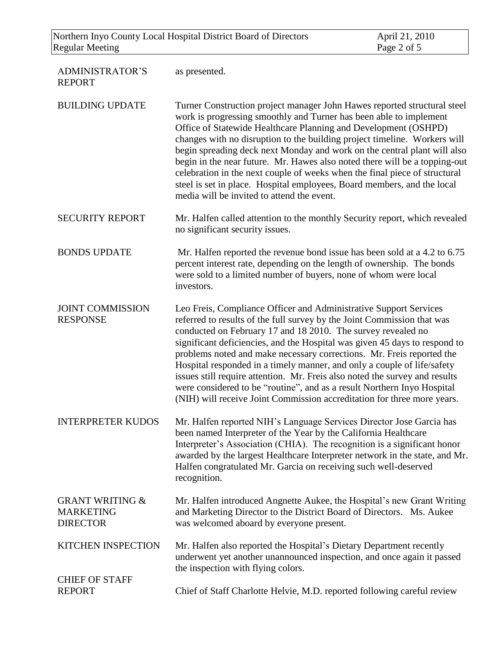Northern Inyo County Local Hospital District Board of Directors April 21, 2010<br>Regular Meeting Page 2 of 5 Regular Meeting

| <b>ADMINISTRATOR'S</b><br><b>REPORT</b>                           | as presented.                                                                                                                                                                                                                                                                                                                                                                                                                                                                                                                                                                                                                                                                       |
|-------------------------------------------------------------------|-------------------------------------------------------------------------------------------------------------------------------------------------------------------------------------------------------------------------------------------------------------------------------------------------------------------------------------------------------------------------------------------------------------------------------------------------------------------------------------------------------------------------------------------------------------------------------------------------------------------------------------------------------------------------------------|
| <b>BUILDING UPDATE</b>                                            | Turner Construction project manager John Hawes reported structural steel<br>work is progressing smoothly and Turner has been able to implement<br>Office of Statewide Healthcare Planning and Development (OSHPD)<br>changes with no disruption to the building project timeline. Workers will<br>begin spreading deck next Monday and work on the central plant will also<br>begin in the near future. Mr. Hawes also noted there will be a topping-out<br>celebration in the next couple of weeks when the final piece of structural<br>steel is set in place. Hospital employees, Board members, and the local<br>media will be invited to attend the event.                     |
| <b>SECURITY REPORT</b>                                            | Mr. Halfen called attention to the monthly Security report, which revealed<br>no significant security issues.                                                                                                                                                                                                                                                                                                                                                                                                                                                                                                                                                                       |
| <b>BONDS UPDATE</b>                                               | Mr. Halfen reported the revenue bond issue has been sold at a 4.2 to 6.75<br>percent interest rate, depending on the length of ownership. The bonds<br>were sold to a limited number of buyers, none of whom were local<br>investors.                                                                                                                                                                                                                                                                                                                                                                                                                                               |
| <b>JOINT COMMISSION</b><br><b>RESPONSE</b>                        | Leo Freis, Compliance Officer and Administrative Support Services<br>referred to results of the full survey by the Joint Commission that was<br>conducted on February 17 and 18 2010. The survey revealed no<br>significant deficiencies, and the Hospital was given 45 days to respond to<br>problems noted and make necessary corrections. Mr. Freis reported the<br>Hospital responded in a timely manner, and only a couple of life/safety<br>issues still require attention. Mr. Freis also noted the survey and results<br>were considered to be "routine", and as a result Northern Inyo Hospital<br>(NIH) will receive Joint Commission accreditation for three more years. |
| <b>INTERPRETER KUDOS</b>                                          | Mr. Halfen reported NIH's Language Services Director Jose Garcia has<br>been named Interpreter of the Year by the California Healthcare<br>Interpreter's Association (CHIA). The recognition is a significant honor<br>awarded by the largest Healthcare Interpreter network in the state, and Mr.<br>Halfen congratulated Mr. Garcia on receiving such well-deserved<br>recognition.                                                                                                                                                                                                                                                                                               |
| <b>GRANT WRITING &amp;</b><br><b>MARKETING</b><br><b>DIRECTOR</b> | Mr. Halfen introduced Angnette Aukee, the Hospital's new Grant Writing<br>and Marketing Director to the District Board of Directors. Ms. Aukee<br>was welcomed aboard by everyone present.                                                                                                                                                                                                                                                                                                                                                                                                                                                                                          |
| <b>KITCHEN INSPECTION</b>                                         | Mr. Halfen also reported the Hospital's Dietary Department recently<br>underwent yet another unannounced inspection, and once again it passed<br>the inspection with flying colors.                                                                                                                                                                                                                                                                                                                                                                                                                                                                                                 |
| <b>CHIEF OF STAFF</b><br><b>REPORT</b>                            | Chief of Staff Charlotte Helvie, M.D. reported following careful review                                                                                                                                                                                                                                                                                                                                                                                                                                                                                                                                                                                                             |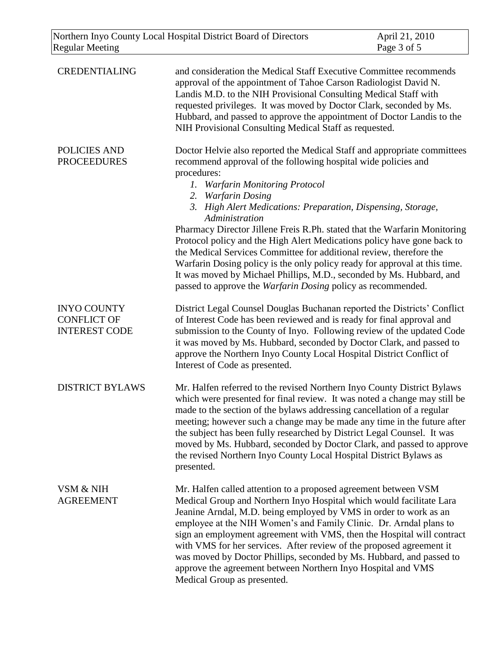| <b>Regular Meeting</b>                                           | Northern Inyo County Local Hospital District Board of Directors                                                                                                                                                                                                                                                                                                                                                                                                                                                                                                                                                                                                                                                                                                     | April 21, 2010<br>Page 3 of 5 |
|------------------------------------------------------------------|---------------------------------------------------------------------------------------------------------------------------------------------------------------------------------------------------------------------------------------------------------------------------------------------------------------------------------------------------------------------------------------------------------------------------------------------------------------------------------------------------------------------------------------------------------------------------------------------------------------------------------------------------------------------------------------------------------------------------------------------------------------------|-------------------------------|
| <b>CREDENTIALING</b>                                             | and consideration the Medical Staff Executive Committee recommends<br>approval of the appointment of Tahoe Carson Radiologist David N.<br>Landis M.D. to the NIH Provisional Consulting Medical Staff with<br>requested privileges. It was moved by Doctor Clark, seconded by Ms.<br>Hubbard, and passed to approve the appointment of Doctor Landis to the<br>NIH Provisional Consulting Medical Staff as requested.                                                                                                                                                                                                                                                                                                                                               |                               |
| POLICIES AND<br><b>PROCEEDURES</b>                               | Doctor Helvie also reported the Medical Staff and appropriate committees<br>recommend approval of the following hospital wide policies and<br>procedures:<br><b>Warfarin Monitoring Protocol</b><br>1.<br>2. Warfarin Dosing<br>3. High Alert Medications: Preparation, Dispensing, Storage,<br>Administration<br>Pharmacy Director Jillene Freis R.Ph. stated that the Warfarin Monitoring<br>Protocol policy and the High Alert Medications policy have gone back to<br>the Medical Services Committee for additional review, therefore the<br>Warfarin Dosing policy is the only policy ready for approval at this time.<br>It was moved by Michael Phillips, M.D., seconded by Ms. Hubbard, and<br>passed to approve the Warfarin Dosing policy as recommended. |                               |
| <b>INYO COUNTY</b><br><b>CONFLICT OF</b><br><b>INTEREST CODE</b> | District Legal Counsel Douglas Buchanan reported the Districts' Conflict<br>of Interest Code has been reviewed and is ready for final approval and<br>submission to the County of Inyo. Following review of the updated Code<br>it was moved by Ms. Hubbard, seconded by Doctor Clark, and passed to<br>approve the Northern Inyo County Local Hospital District Conflict of<br>Interest of Code as presented.                                                                                                                                                                                                                                                                                                                                                      |                               |
| <b>DISTRICT BYLAWS</b>                                           | Mr. Halfen referred to the revised Northern Inyo County District Bylaws<br>which were presented for final review. It was noted a change may still be<br>made to the section of the bylaws addressing cancellation of a regular<br>meeting; however such a change may be made any time in the future after<br>the subject has been fully researched by District Legal Counsel. It was<br>moved by Ms. Hubbard, seconded by Doctor Clark, and passed to approve<br>the revised Northern Inyo County Local Hospital District Bylaws as<br>presented.                                                                                                                                                                                                                   |                               |
| VSM & NIH<br><b>AGREEMENT</b>                                    | Mr. Halfen called attention to a proposed agreement between VSM<br>Medical Group and Northern Inyo Hospital which would facilitate Lara<br>Jeanine Arndal, M.D. being employed by VMS in order to work as an<br>employee at the NIH Women's and Family Clinic. Dr. Arndal plans to<br>sign an employment agreement with VMS, then the Hospital will contract<br>with VMS for her services. After review of the proposed agreement it<br>was moved by Doctor Phillips, seconded by Ms. Hubbard, and passed to<br>approve the agreement between Northern Inyo Hospital and VMS<br>Medical Group as presented.                                                                                                                                                         |                               |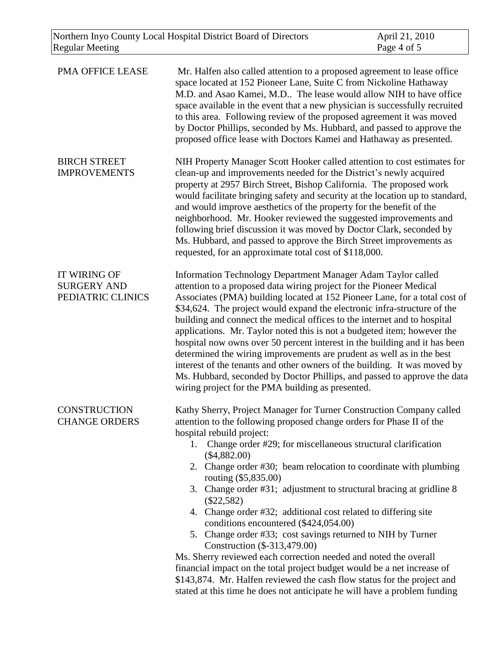| PMA OFFICE LEASE                                               | Mr. Halfen also called attention to a proposed agreement to lease office<br>space located at 152 Pioneer Lane, Suite C from Nickoline Hathaway<br>M.D. and Asao Kamei, M.D The lease would allow NIH to have office<br>space available in the event that a new physician is successfully recruited<br>to this area. Following review of the proposed agreement it was moved<br>by Doctor Phillips, seconded by Ms. Hubbard, and passed to approve the<br>proposed office lease with Doctors Kamei and Hathaway as presented.                                                                                                                                                                                                                                                                                                                                                                                                                                         |
|----------------------------------------------------------------|----------------------------------------------------------------------------------------------------------------------------------------------------------------------------------------------------------------------------------------------------------------------------------------------------------------------------------------------------------------------------------------------------------------------------------------------------------------------------------------------------------------------------------------------------------------------------------------------------------------------------------------------------------------------------------------------------------------------------------------------------------------------------------------------------------------------------------------------------------------------------------------------------------------------------------------------------------------------|
| <b>BIRCH STREET</b><br><b>IMPROVEMENTS</b>                     | NIH Property Manager Scott Hooker called attention to cost estimates for<br>clean-up and improvements needed for the District's newly acquired<br>property at 2957 Birch Street, Bishop California. The proposed work<br>would facilitate bringing safety and security at the location up to standard,<br>and would improve aesthetics of the property for the benefit of the<br>neighborhood. Mr. Hooker reviewed the suggested improvements and<br>following brief discussion it was moved by Doctor Clark, seconded by<br>Ms. Hubbard, and passed to approve the Birch Street improvements as<br>requested, for an approximate total cost of \$118,000.                                                                                                                                                                                                                                                                                                           |
| <b>IT WIRING OF</b><br><b>SURGERY AND</b><br>PEDIATRIC CLINICS | Information Technology Department Manager Adam Taylor called<br>attention to a proposed data wiring project for the Pioneer Medical<br>Associates (PMA) building located at 152 Pioneer Lane, for a total cost of<br>\$34,624. The project would expand the electronic infra-structure of the<br>building and connect the medical offices to the internet and to hospital<br>applications. Mr. Taylor noted this is not a budgeted item; however the<br>hospital now owns over 50 percent interest in the building and it has been<br>determined the wiring improvements are prudent as well as in the best<br>interest of the tenants and other owners of the building. It was moved by<br>Ms. Hubbard, seconded by Doctor Phillips, and passed to approve the data<br>wiring project for the PMA building as presented.                                                                                                                                            |
| <b>CONSTRUCTION</b><br><b>CHANGE ORDERS</b>                    | Kathy Sherry, Project Manager for Turner Construction Company called<br>attention to the following proposed change orders for Phase II of the<br>hospital rebuild project:<br>Change order #29; for miscellaneous structural clarification<br>1.<br>(\$4,882.00)<br>2. Change order #30; beam relocation to coordinate with plumbing<br>routing (\$5,835.00)<br>3. Change order #31; adjustment to structural bracing at gridline 8<br>$(\$22,582)$<br>4. Change order #32; additional cost related to differing site<br>conditions encountered (\$424,054.00)<br>5. Change order #33; cost savings returned to NIH by Turner<br>Construction (\$-313,479.00)<br>Ms. Sherry reviewed each correction needed and noted the overall<br>financial impact on the total project budget would be a net increase of<br>\$143,874. Mr. Halfen reviewed the cash flow status for the project and<br>stated at this time he does not anticipate he will have a problem funding |